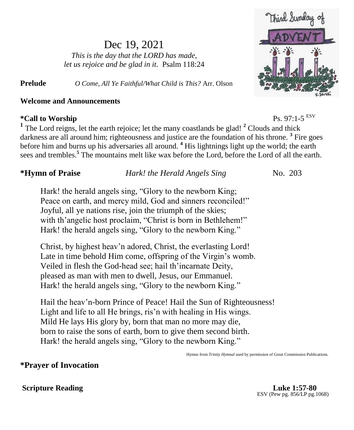# Dec 19, 2021

*This is the day that the LORD has made, let us rejoice and be glad in it.* Psalm 118:24

**Prelude** *O Come, All Ye Faithful/What Child is This?* Arr. Olson

### **Welcome and Announcements**

## $*$ Call to Worship

Ps.  $97:1-5$ <sup>ESV</sup> <sup>1</sup> The Lord reigns, let the earth rejoice; let the many coastlands be glad! <sup>2</sup> Clouds and thick darkness are all around him; righteousness and justice are the foundation of his throne. **<sup>3</sup>** Fire goes before him and burns up his adversaries all around. **<sup>4</sup>** His lightnings light up the world; the earth sees and trembles.**<sup>5</sup>** The mountains melt like wax before the Lord, before the Lord of all the earth.

### **\*Hymn of Praise** *Hark! the Herald Angels Sing*No. 203

Hark! the herald angels sing, "Glory to the newborn King; Peace on earth, and mercy mild, God and sinners reconciled!" Joyful, all ye nations rise, join the triumph of the skies; with th'angelic host proclaim, "Christ is born in Bethlehem!" Hark! the herald angels sing, "Glory to the newborn King."

Christ, by highest heav'n adored, Christ, the everlasting Lord! Late in time behold Him come, offspring of the Virgin's womb. Veiled in flesh the God-head see; hail th'incarnate Deity, pleased as man with men to dwell, Jesus, our Emmanuel. Hark! the herald angels sing, "Glory to the newborn King."

Hail the heav'n-born Prince of Peace! Hail the Sun of Righteousness! Light and life to all He brings, ris'n with healing in His wings. Mild He lays His glory by, born that man no more may die, born to raise the sons of earth, born to give them second birth. Hark! the herald angels sing, "Glory to the newborn King."

Hymns from *Trinity Hymnal* used by permission of Great Commission Publications.

## **\*Prayer of Invocation**

#### **Scripture Reading Luke 1:57-80**

ESV (Pew pg. 856/LP pg.1068)

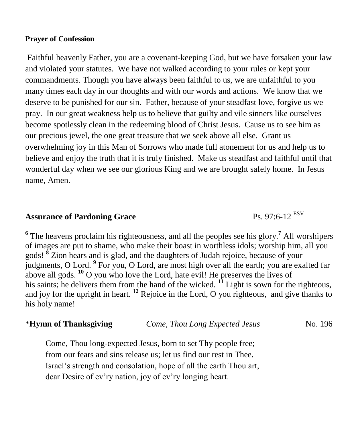#### **Prayer of Confession**

Faithful heavenly Father, you are a covenant-keeping God, but we have forsaken your law and violated your statutes. We have not walked according to your rules or kept your commandments. Though you have always been faithful to us, we are unfaithful to you many times each day in our thoughts and with our words and actions. We know that we deserve to be punished for our sin. Father, because of your steadfast love, forgive us we pray. In our great weakness help us to believe that guilty and vile sinners like ourselves become spotlessly clean in the redeeming blood of Christ Jesus. Cause us to see him as our precious jewel, the one great treasure that we seek above all else. Grant us overwhelming joy in this Man of Sorrows who made full atonement for us and help us to believe and enjoy the truth that it is truly finished. Make us steadfast and faithful until that wonderful day when we see our glorious King and we are brought safely home. In Jesus name, Amen.

## **Assurance of Pardoning Grace** Ps. 97:6-12 ESV

**6** The heavens proclaim his righteousness, and all the peoples see his glory.**<sup>7</sup>** All worshipers of images are put to shame, who make their boast in worthless idols; worship him, all you gods! **<sup>8</sup>** Zion hears and is glad, and the daughters of Judah rejoice, because of your judgments, O Lord. **<sup>9</sup>** For you, O Lord, are most high over all the earth; you are exalted far above all gods. **<sup>10</sup>** O you who love the Lord, hate evil! He preserves the lives of his saints; he delivers them from the hand of the wicked. <sup>11</sup> Light is sown for the righteous, and joy for the upright in heart. **<sup>12</sup>** Rejoice in the Lord, O you righteous, and give thanks to his holy name!

## \***Hymn of Thanksgiving** *Come, Thou Long Expected Jesus* No. 196

Come, Thou long-expected Jesus, born to set Thy people free; from our fears and sins release us; let us find our rest in Thee. Israel's strength and consolation, hope of all the earth Thou art, dear Desire of ev'ry nation, joy of ev'ry longing heart.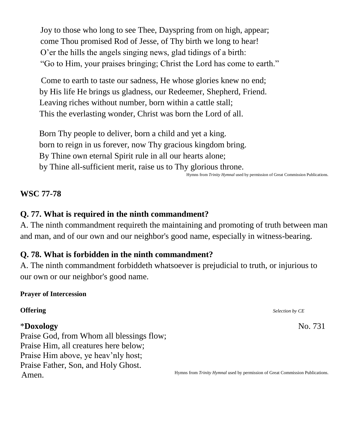Joy to those who long to see Thee, Dayspring from on high, appear; come Thou promised Rod of Jesse, of Thy birth we long to hear! O'er the hills the angels singing news, glad tidings of a birth: "Go to Him, your praises bringing; Christ the Lord has come to earth."

Come to earth to taste our sadness, He whose glories knew no end; by His life He brings us gladness, our Redeemer, Shepherd, Friend. Leaving riches without number, born within a cattle stall; This the everlasting wonder, Christ was born the Lord of all.

 Born Thy people to deliver, born a child and yet a king. born to reign in us forever, now Thy gracious kingdom bring. By Thine own eternal Spirit rule in all our hearts alone; by Thine all-sufficient merit, raise us to Thy glorious throne.

#### Hymns from *Trinity Hymnal* used by permission of Great Commission Publications.

#### **WSC 77-78**

## **Q. 77. What is required in the ninth commandment?**

A. The ninth commandment requireth the maintaining and promoting of truth between man and man, and of our own and our neighbor's good name, especially in witness-bearing.

## **Q. 78. What is forbidden in the ninth commandment?**

A. The ninth commandment forbiddeth whatsoever is prejudicial to truth, or injurious to our own or our neighbor's good name.

#### **Prayer of Intercession**

### \***Doxology** No. 731

Praise God, from Whom all blessings flow; Praise Him, all creatures here below; Praise Him above, ye heav'nly host; Praise Father, Son, and Holy Ghost. Amen.

**Offering** *Selection by CE* 

Hymns from *Trinity Hymnal* used by permission of Great Commission Publications.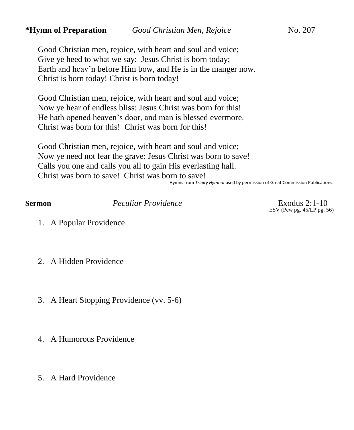#### **\*Hymn of Preparation** *Good Christian Men, Rejoice* No. 207

Good Christian men, rejoice, with heart and soul and voice; Give ye heed to what we say: Jesus Christ is born today; Earth and heav'n before Him bow, and He is in the manger now. Christ is born today! Christ is born today!

Good Christian men, rejoice, with heart and soul and voice; Now ye hear of endless bliss: Jesus Christ was born for this! He hath opened heaven's door, and man is blessed evermore. Christ was born for this! Christ was born for this!

Good Christian men, rejoice, with heart and soul and voice; Now ye need not fear the grave: Jesus Christ was born to save! Calls you one and calls you all to gain His everlasting hall. Christ was born to save! Christ was born to save!

Hymns from *Trinity Hymnal* used by permission of Great Commission Publications.

**Sermon** *Peculiar Providence* Exodus 2:1-10

ESV (Pew pg. 45/LP pg. 56)

- 1. A Popular Providence
- 2. A Hidden Providence
- 3. A Heart Stopping Providence (vv. 5-6)
- 4. A Humorous Providence
- 5. A Hard Providence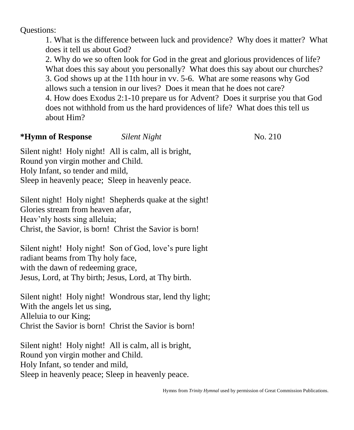Questions:

1. What is the difference between luck and providence? Why does it matter? What does it tell us about God?

2. Why do we so often look for God in the great and glorious providences of life? What does this say about you personally? What does this say about our churches? 3. God shows up at the 11th hour in vv. 5-6. What are some reasons why God allows such a tension in our lives? Does it mean that he does not care? 4. How does Exodus 2:1-10 prepare us for Advent? Does it surprise you that God does not withhold from us the hard providences of life? What does this tell us

about Him?

## **\*Hymn of Response** *Silent Night*No. 210

Silent night! Holy night! All is calm, all is bright, Round yon virgin mother and Child. Holy Infant, so tender and mild,

Sleep in heavenly peace; Sleep in heavenly peace.

Silent night! Holy night! Shepherds quake at the sight! Glories stream from heaven afar, Heav'nly hosts sing alleluia; Christ, the Savior, is born! Christ the Savior is born!

Silent night! Holy night! Son of God, love's pure light radiant beams from Thy holy face, with the dawn of redeeming grace, Jesus, Lord, at Thy birth; Jesus, Lord, at Thy birth.

Silent night! Holy night! Wondrous star, lend thy light; With the angels let us sing, Alleluia to our King; Christ the Savior is born! Christ the Savior is born!

Silent night! Holy night! All is calm, all is bright, Round yon virgin mother and Child. Holy Infant, so tender and mild, Sleep in heavenly peace; Sleep in heavenly peace.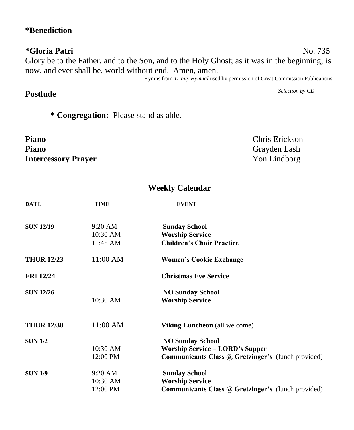## **\*Benediction**

## **\*Gloria Patri** No. 735 Glory be to the Father, and to the Son, and to the Holy Ghost; as it was in the beginning, is now, and ever shall be, world without end. Amen, amen.

Hymns from *Trinity Hymnal* used by permission of Great Commission Publications.

## **Postlude** *Selection by CE*

**\* Congregation:** Please stand as able.

**Piano** Chris Erickson **Piano** Grayden Lash **Intercessory Prayer** Yon Lindborg

## **Weekly Calendar**

| <b>DATE</b>       | TIME              | <b>EVENT</b>                                              |  |
|-------------------|-------------------|-----------------------------------------------------------|--|
| <b>SUN 12/19</b>  | $9:20 \text{ AM}$ | <b>Sunday School</b>                                      |  |
|                   | $10:30$ AM        | <b>Worship Service</b>                                    |  |
|                   | 11:45 AM          | <b>Children's Choir Practice</b>                          |  |
| <b>THUR 12/23</b> | $11:00$ AM        | <b>Women's Cookie Exchange</b>                            |  |
| <b>FRI</b> 12/24  |                   | <b>Christmas Eve Service</b>                              |  |
| <b>SUN 12/26</b>  |                   | <b>NO Sunday School</b>                                   |  |
|                   | 10:30 AM          | <b>Worship Service</b>                                    |  |
| <b>THUR 12/30</b> | $11:00$ AM        | Viking Luncheon (all welcome)                             |  |
| <b>SUN 1/2</b>    |                   | <b>NO Sunday School</b>                                   |  |
|                   | $10:30$ AM        | Worship Service – LORD's Supper                           |  |
|                   | 12:00 PM          | <b>Communicants Class @ Gretzinger's (lunch provided)</b> |  |
| <b>SUN 1/9</b>    | $9:20$ AM         | <b>Sunday School</b>                                      |  |
|                   | 10:30 AM          | <b>Worship Service</b>                                    |  |
|                   | 12:00 PM          | <b>Communicants Class @ Gretzinger's (lunch provided)</b> |  |